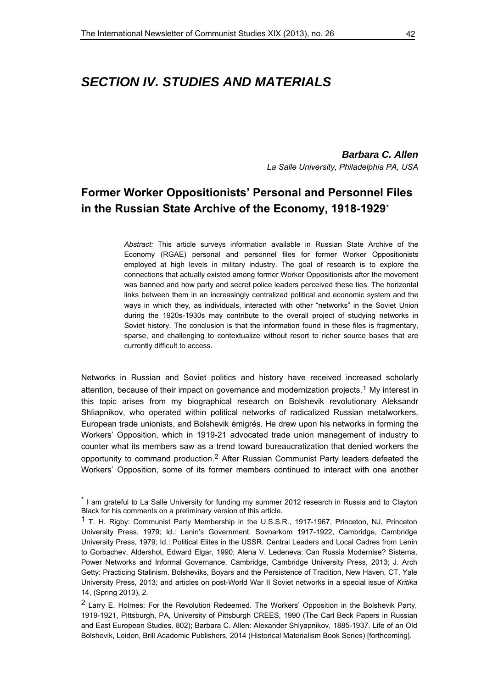*Barbara C. Allen La Salle University, Philadelphia PA, USA* 

## **Former Worker Oppositionists' Personal and Personnel Files in the Russian State Archive of the Economy, 1918-1929[\\*](#page-0-0)**

*Abstract:* This article surveys information available in Russian State Archive of the Economy (RGAE) personal and personnel files for former Worker Oppositionists employed at high levels in military industry. The goal of research is to explore the connections that actually existed among former Worker Oppositionists after the movement was banned and how party and secret police leaders perceived these ties. The horizontal links between them in an increasingly centralized political and economic system and the ways in which they, as individuals, interacted with other "networks" in the Soviet Union during the 1920s-1930s may contribute to the overall project of studying networks in Soviet history. The conclusion is that the information found in these files is fragmentary, sparse, and challenging to contextualize without resort to richer source bases that are currently difficult to access.

Networks in Russian and Soviet politics and history have received increased scholarly attention, because of their impact on governance and modernization projects.[1](#page-0-1) My interest in this topic arises from my biographical research on Bolshevik revolutionary Aleksandr Shliapnikov, who operated within political networks of radicalized Russian metalworkers, European trade unionists, and Bolshevik émigrés. He drew upon his networks in forming the Workers' Opposition, which in 1919-21 advocated trade union management of industry to counter what its members saw as a trend toward bureaucratization that denied workers the opportunity to command production.[2](#page-0-2) After Russian Communist Party leaders defeated the Workers' Opposition, some of its former members continued to interact with one another

<span id="page-0-0"></span><sup>\*</sup> I am grateful to La Salle University for funding my summer 2012 research in Russia and to Clayton Black for his comments on a preliminary version of this article.

<span id="page-0-1"></span><sup>&</sup>lt;sup>1</sup> T. H. Rigby: Communist Party Membership in the U.S.S.R., 1917-1967, Princeton, NJ, Princeton University Press, 1979; Id.: Lenin's Government. Sovnarkom 1917-1922, Cambridge, Cambridge University Press, 1979; Id.: Political Elites in the USSR. Central Leaders and Local Cadres from Lenin to Gorbachev, Aldershot, Edward Elgar, 1990; Alena V. Ledeneva: Can Russia Modernise? Sistema, Power Networks and Informal Governance, Cambridge, Cambridge University Press, 2013; J. Arch Getty: Practicing Stalinism. Bolsheviks, Boyars and the Persistence of Tradition, New Haven, CT, Yale University Press, 2013; and articles on post-World War II Soviet networks in a special issue of *Kritika* 14, (Spring 2013), 2.

<span id="page-0-2"></span><sup>&</sup>lt;sup>2</sup> Larry E. Holmes: For the Revolution Redeemed. The Workers' Opposition in the Bolshevik Party, 1919-1921, Pittsburgh, PA, University of Pittsburgh CREES, 1990 (The Carl Beck Papers in Russian and East European Studies. 802); Barbara C. Allen: Alexander Shlyapnikov, 1885-1937. Life of an Old Bolshevik, Leiden, Brill Academic Publishers, 2014 (Historical Materialism Book Series) [forthcoming].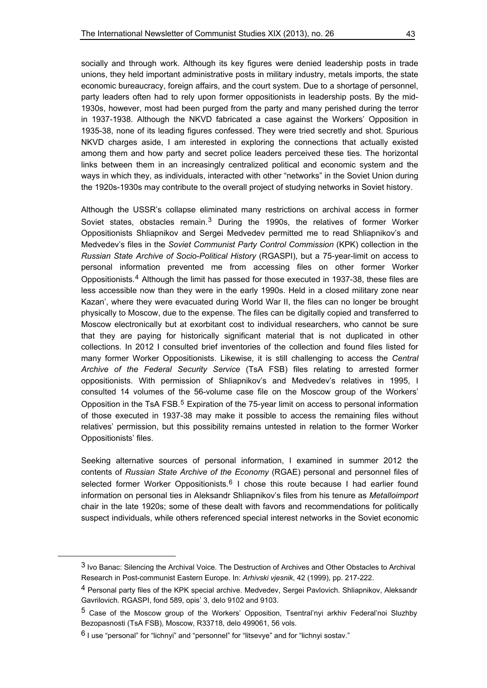socially and through work. Although its key figures were denied leadership posts in trade unions, they held important administrative posts in military industry, metals imports, the state economic bureaucracy, foreign affairs, and the court system. Due to a shortage of personnel, party leaders often had to rely upon former oppositionists in leadership posts. By the mid-1930s, however, most had been purged from the party and many perished during the terror in 1937-1938. Although the NKVD fabricated a case against the Workers' Opposition in 1935-38, none of its leading figures confessed. They were tried secretly and shot. Spurious NKVD charges aside, I am interested in exploring the connections that actually existed among them and how party and secret police leaders perceived these ties. The horizontal links between them in an increasingly centralized political and economic system and the ways in which they, as individuals, interacted with other "networks" in the Soviet Union during the 1920s-1930s may contribute to the overall project of studying networks in Soviet history.

Although the USSR's collapse eliminated many restrictions on archival access in former Soviet states, obstacles remain. $3$  During the 1990s, the relatives of former Worker Oppositionists Shliapnikov and Sergei Medvedev permitted me to read Shliapnikov's and Medvedev's files in the *Soviet Communist Party Control Commission* (KPK) collection in the *Russian State Archive of Socio-Political History* (RGASPI), but a 75-year-limit on access to personal information prevented me from accessing files on other former Worker Oppositionists.[4](#page-1-1) Although the limit has passed for those executed in 1937-38, these files are less accessible now than they were in the early 1990s. Held in a closed military zone near Kazan', where they were evacuated during World War II, the files can no longer be brought physically to Moscow, due to the expense. The files can be digitally copied and transferred to Moscow electronically but at exorbitant cost to individual researchers, who cannot be sure that they are paying for historically significant material that is not duplicated in other collections. In 2012 I consulted brief inventories of the collection and found files listed for many former Worker Oppositionists. Likewise, it is still challenging to access the *Central Archive of the Federal Security Service* (TsA FSB) files relating to arrested former oppositionists. With permission of Shliapnikov's and Medvedev's relatives in 1995, I consulted 14 volumes of the 56-volume case file on the Moscow group of the Workers' Opposition in the TsA FSB.<sup>[5](#page-1-2)</sup> Expiration of the 75-year limit on access to personal information of those executed in 1937-38 may make it possible to access the remaining files without relatives' permission, but this possibility remains untested in relation to the former Worker Oppositionists' files.

Seeking alternative sources of personal information, I examined in summer 2012 the contents of *Russian State Archive of the Economy* (RGAE) personal and personnel files of selected former Worker Oppositionists. $6$  I chose this route because I had earlier found information on personal ties in Aleksandr Shliapnikov's files from his tenure as *Metalloimport* chair in the late 1920s; some of these dealt with favors and recommendations for politically suspect individuals, while others referenced special interest networks in the Soviet economic

<span id="page-1-0"></span><sup>3</sup> Ivo Banac: Silencing the Archival Voice. The Destruction of Archives and Other Obstacles to Archival Research in Post-communist Eastern Europe. In: *Arhivski vjesnik*, 42 (1999), pp. 217-222.

<span id="page-1-1"></span><sup>4</sup> Personal party files of the KPK special archive. Medvedev, Sergei Pavlovich. Shliapnikov, Aleksandr Gavrilovich. RGASPI, fond 589, opis' 3, delo 9102 and 9103.

<span id="page-1-2"></span><sup>5</sup> Case of the Moscow group of the Workers' Opposition, Tsentral'nyi arkhiv Federal'noi Sluzhby Bezopasnosti (TsA FSB), Moscow, R33718, delo 499061, 56 vols.

<span id="page-1-3"></span> $6$  I use "personal" for "lichnyi" and "personnel" for "litsevye" and for "lichnyi sostav."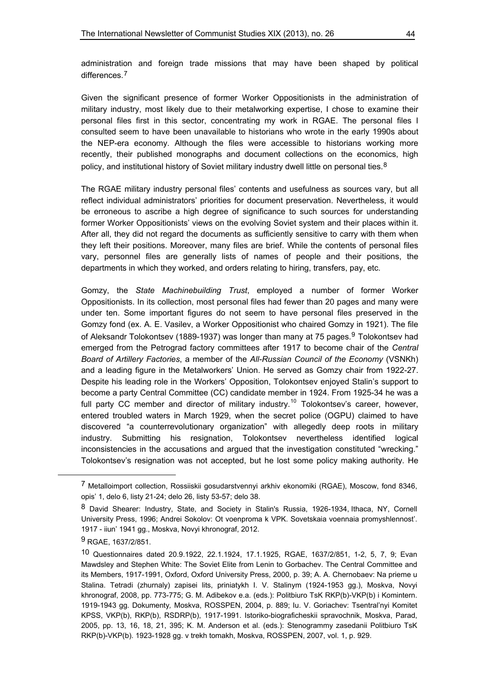administration and foreign trade missions that may have been shaped by political differences.<sup>[7](#page-2-0)</sup>

Given the significant presence of former Worker Oppositionists in the administration of military industry, most likely due to their metalworking expertise, I chose to examine their personal files first in this sector, concentrating my work in RGAE. The personal files I consulted seem to have been unavailable to historians who wrote in the early 1990s about the NEP-era economy. Although the files were accessible to historians working more recently, their published monographs and document collections on the economics, high policy, and institutional history of Soviet military industry dwell little on personal ties.[8](#page-2-1)

The RGAE military industry personal files' contents and usefulness as sources vary, but all reflect individual administrators' priorities for document preservation. Nevertheless, it would be erroneous to ascribe a high degree of significance to such sources for understanding former Worker Oppositionists' views on the evolving Soviet system and their places within it. After all, they did not regard the documents as sufficiently sensitive to carry with them when they left their positions. Moreover, many files are brief. While the contents of personal files vary, personnel files are generally lists of names of people and their positions, the departments in which they worked, and orders relating to hiring, transfers, pay, etc.

Gomzy, the *State Machinebuilding Trust*, employed a number of former Worker Oppositionists. In its collection, most personal files had fewer than 20 pages and many were under ten. Some important figures do not seem to have personal files preserved in the Gomzy fond (ex. A. E. Vasilev, a Worker Oppositionist who chaired Gomzy in 1921). The file of Aleksandr Tolokontsev (188[9](#page-2-2)-1937) was longer than many at 75 pages.<sup>9</sup> Tolokontsev had emerged from the Petrograd factory committees after 1917 to become chair of the *Central Board of Artillery Factories*, a member of the *All-Russian Council of the Economy* (VSNKh) and a leading figure in the Metalworkers' Union. He served as Gomzy chair from 1922-27. Despite his leading role in the Workers' Opposition, Tolokontsev enjoyed Stalin's support to become a party Central Committee (CC) candidate member in 1924. From 1925-34 he was a full party CC member and director of military industry.<sup>[10](#page-2-3)</sup> Tolokontsev's career, however, entered troubled waters in March 1929, when the secret police (OGPU) claimed to have discovered "a counterrevolutionary organization" with allegedly deep roots in military industry. Submitting his resignation, Tolokontsev nevertheless identified logical inconsistencies in the accusations and argued that the investigation constituted "wrecking." Tolokontsev's resignation was not accepted, but he lost some policy making authority. He

<span id="page-2-0"></span><sup>7</sup> Metalloimport collection, Rossiiskii gosudarstvennyi arkhiv ekonomiki (RGAE), Moscow, fond 8346, opis' 1, delo 6, listy 21-24; delo 26, listy 53-57; delo 38.

<span id="page-2-1"></span><sup>8</sup> David Shearer: Industry, State, and Society in Stalin's Russia, 1926-1934, Ithaca, NY, Cornell University Press, 1996; Andrei Sokolov: Ot voenproma k VPK. Sovetskaia voennaia promyshlennost'. 1917 - iiun' 1941 gg., Moskva, Novyi khronograf, 2012.

<span id="page-2-2"></span><sup>9</sup> RGAE, 1637/2/851.

<span id="page-2-3"></span><sup>10</sup> Questionnaires dated 20.9.1922, 22.1.1924, 17.1.1925, RGAE, 1637/2/851, 1-2, 5, 7, 9; Evan Mawdsley and Stephen White: The Soviet Elite from Lenin to Gorbachev. The Central Committee and its Members, 1917-1991, Oxford, Oxford University Press, 2000, p. 39; A. A. Chernobaev: Na prieme u Stalina. Tetradi (zhurnaly) zapisei lits, priniatykh I. V. Stalinym (1924-1953 gg.), Moskva, Novyi khronograf, 2008, pp. 773-775; G. M. Adibekov e.a. (eds.): Politbiuro TsK RKP(b)-VKP(b) i Komintern. 1919-1943 gg. Dokumenty*,* Moskva, ROSSPEN, 2004, p. 889; Iu. V. Goriachev: Tsentral'nyi Komitet KPSS, VKP(b), RKP(b), RSDRP(b), 1917-1991. Istoriko-biograficheskii spravochnik, Moskva, Parad, 2005, pp. 13, 16, 18, 21, 395; K. M. Anderson et al. (eds.): Stenogrammy zasedanii Politbiuro TsK RKP(b)-VKP(b). 1923-1928 gg. v trekh tomakh, Moskva, ROSSPEN, 2007, vol. 1, p. 929.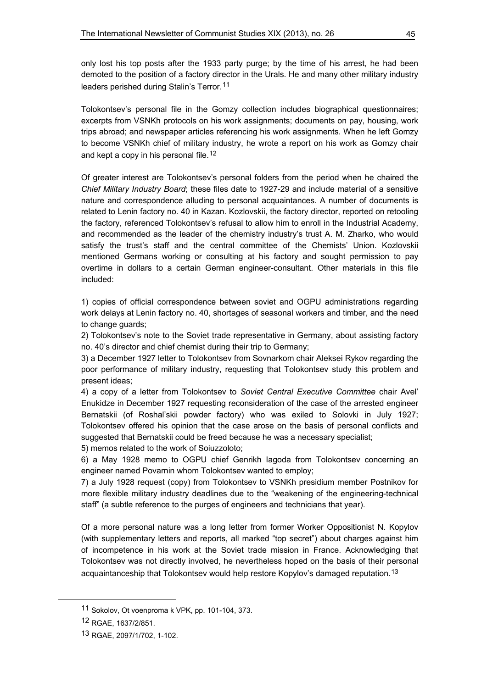only lost his top posts after the 1933 party purge; by the time of his arrest, he had been demoted to the position of a factory director in the Urals. He and many other military industry leaders perished during Stalin's Terror.<sup>[11](#page-3-0)</sup>

Tolokontsev's personal file in the Gomzy collection includes biographical questionnaires; excerpts from VSNKh protocols on his work assignments; documents on pay, housing, work trips abroad; and newspaper articles referencing his work assignments. When he left Gomzy to become VSNKh chief of military industry, he wrote a report on his work as Gomzy chair and kept a copy in his personal file.<sup>[12](#page-3-1)</sup>

Of greater interest are Tolokontsev's personal folders from the period when he chaired the *Chief Military Industry Board*; these files date to 1927-29 and include material of a sensitive nature and correspondence alluding to personal acquaintances. A number of documents is related to Lenin factory no. 40 in Kazan. Kozlovskii, the factory director, reported on retooling the factory, referenced Tolokontsev's refusal to allow him to enroll in the Industrial Academy, and recommended as the leader of the chemistry industry's trust A. M. Zharko, who would satisfy the trust's staff and the central committee of the Chemists' Union. Kozlovskii mentioned Germans working or consulting at his factory and sought permission to pay overtime in dollars to a certain German engineer-consultant. Other materials in this file included:

1) copies of official correspondence between soviet and OGPU administrations regarding work delays at Lenin factory no. 40, shortages of seasonal workers and timber, and the need to change guards;

2) Tolokontsev's note to the Soviet trade representative in Germany, about assisting factory no. 40's director and chief chemist during their trip to Germany;

3) a December 1927 letter to Tolokontsev from Sovnarkom chair Aleksei Rykov regarding the poor performance of military industry, requesting that Tolokontsev study this problem and present ideas;

4) a copy of a letter from Tolokontsev to *Soviet Central Executive Committee* chair Avel' Enukidze in December 1927 requesting reconsideration of the case of the arrested engineer Bernatskii (of Roshal'skii powder factory) who was exiled to Solovki in July 1927; Tolokontsev offered his opinion that the case arose on the basis of personal conflicts and suggested that Bernatskii could be freed because he was a necessary specialist;

5) memos related to the work of Soiuzzoloto;

6) a May 1928 memo to OGPU chief Genrikh Iagoda from Tolokontsev concerning an engineer named Povarnin whom Tolokontsev wanted to employ;

7) a July 1928 request (copy) from Tolokontsev to VSNKh presidium member Postnikov for more flexible military industry deadlines due to the "weakening of the engineering-technical staff" (a subtle reference to the purges of engineers and technicians that year).

Of a more personal nature was a long letter from former Worker Oppositionist N. Kopylov (with supplementary letters and reports, all marked "top secret") about charges against him of incompetence in his work at the Soviet trade mission in France. Acknowledging that Tolokontsev was not directly involved, he nevertheless hoped on the basis of their personal acquaintanceship that Tolokontsey would help restore Kopyloy's damaged reputation.<sup>[13](#page-3-2)</sup>

<span id="page-3-2"></span><span id="page-3-1"></span><span id="page-3-0"></span><u>.</u>

<sup>11</sup> Sokolov, Ot voenproma k VPK, pp. 101-104, 373.

<sup>12</sup> RGAE, 1637/2/851.

<sup>13</sup> RGAE, 2097/1/702, 1-102.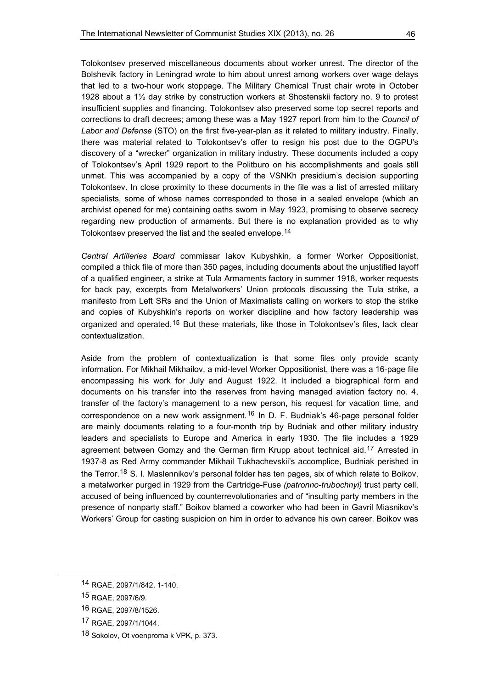Tolokontsev preserved the list and the sealed envelope.[14](#page-4-0)

Tolokontsev preserved miscellaneous documents about worker unrest. The director of the Bolshevik factory in Leningrad wrote to him about unrest among workers over wage delays that led to a two-hour work stoppage. The Military Chemical Trust chair wrote in October 1928 about a 1½ day strike by construction workers at Shostenskii factory no. 9 to protest insufficient supplies and financing. Tolokontsev also preserved some top secret reports and corrections to draft decrees; among these was a May 1927 report from him to the *Council of Labor and Defense* (STO) on the first five-year-plan as it related to military industry. Finally, there was material related to Tolokontsev's offer to resign his post due to the OGPU's discovery of a "wrecker" organization in military industry. These documents included a copy of Tolokontsev's April 1929 report to the Politburo on his accomplishments and goals still unmet. This was accompanied by a copy of the VSNKh presidium's decision supporting Tolokontsev. In close proximity to these documents in the file was a list of arrested military specialists, some of whose names corresponded to those in a sealed envelope (which an

*Central Artilleries Board* commissar Iakov Kubyshkin, a former Worker Oppositionist, compiled a thick file of more than 350 pages, including documents about the unjustified layoff of a qualified engineer, a strike at Tula Armaments factory in summer 1918, worker requests for back pay, excerpts from Metalworkers' Union protocols discussing the Tula strike, a manifesto from Left SRs and the Union of Maximalists calling on workers to stop the strike and copies of Kubyshkin's reports on worker discipline and how factory leadership was organized and operated.[15](#page-4-1) But these materials, like those in Tolokontsev's files, lack clear contextualization.

archivist opened for me) containing oaths sworn in May 1923, promising to observe secrecy regarding new production of armaments. But there is no explanation provided as to why

Aside from the problem of contextualization is that some files only provide scanty information. For Mikhail Mikhailov, a mid-level Worker Oppositionist, there was a 16-page file encompassing his work for July and August 1922. It included a biographical form and documents on his transfer into the reserves from having managed aviation factory no. 4, transfer of the factory's management to a new person, his request for vacation time, and correspondence on a new work assignment.<sup>[16](#page-4-2)</sup> In D. F. Budniak's 46-page personal folder are mainly documents relating to a four-month trip by Budniak and other military industry leaders and specialists to Europe and America in early 1930. The file includes a 1929 agreement between Gomzy and the German firm Krupp about technical aid.[17](#page-4-3) Arrested in 1937-8 as Red Army commander Mikhail Tukhachevskii's accomplice, Budniak perished in the Terror.[18](#page-4-4) S. I. Maslennikov's personal folder has ten pages, six of which relate to Boikov, a metalworker purged in 1929 from the Cartridge-Fuse *(patronno-trubochnyi)* trust party cell, accused of being influenced by counterrevolutionaries and of "insulting party members in the presence of nonparty staff." Boikov blamed a coworker who had been in Gavril Miasnikov's Workers' Group for casting suspicion on him in order to advance his own career. Boikov was

<span id="page-4-0"></span><sup>14</sup> RGAE, 2097/1/842, 1-140.

<span id="page-4-1"></span><sup>15</sup> RGAE, 2097/6/9.

<span id="page-4-2"></span><sup>16</sup> RGAE, 2097/8/1526.

<span id="page-4-3"></span><sup>17</sup> RGAE, 2097/1/1044.

<span id="page-4-4"></span><sup>18</sup> Sokolov, Ot voenproma k VPK, p. 373.